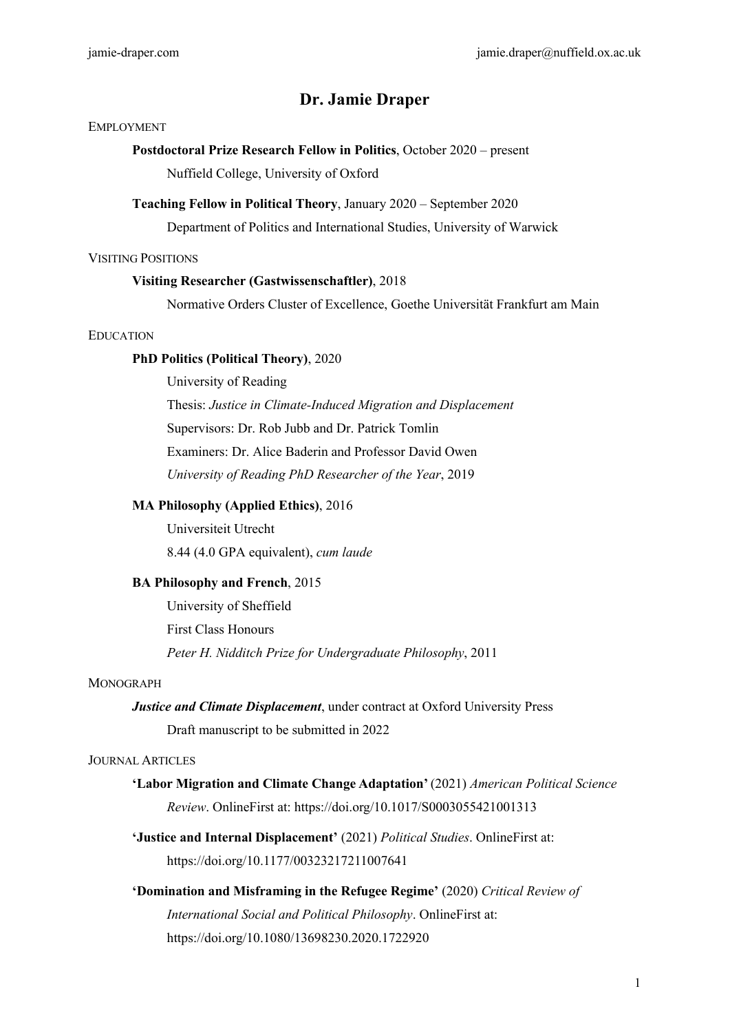# **Dr. Jamie Draper**

#### EMPLOYMENT

# **Postdoctoral Prize Research Fellow in Politics**, October 2020 – present

Nuffield College, University of Oxford

#### **Teaching Fellow in Political Theory**, January 2020 – September 2020

Department of Politics and International Studies, University of Warwick

#### VISITING POSITIONS

## **Visiting Researcher (Gastwissenschaftler)**, 2018

Normative Orders Cluster of Excellence, Goethe Universität Frankfurt am Main

## EDUCATION

## **PhD Politics (Political Theory)**, 2020

University of Reading

Thesis: *Justice in Climate-Induced Migration and Displacement* Supervisors: Dr. Rob Jubb and Dr. Patrick Tomlin Examiners: Dr. Alice Baderin and Professor David Owen *University of Reading PhD Researcher of the Year*, 2019

## **MA Philosophy (Applied Ethics)**, 2016

Universiteit Utrecht 8.44 (4.0 GPA equivalent), *cum laude*

## **BA Philosophy and French**, 2015

University of Sheffield First Class Honours *Peter H. Nidditch Prize for Undergraduate Philosophy*, 2011

## MONOGRAPH

*Justice and Climate Displacement*, under contract at Oxford University Press Draft manuscript to be submitted in 2022

## JOURNAL ARTICLES

- **'Labor Migration and Climate Change Adaptation'** (2021) *American Political Science Review*. OnlineFirst at: https://doi.org/10.1017/S0003055421001313
- **'Justice and Internal Displacement'** (2021) *Political Studies*. OnlineFirst at: https://doi.org/10.1177/00323217211007641
- **'Domination and Misframing in the Refugee Regime'** (2020) *Critical Review of International Social and Political Philosophy*. OnlineFirst at: https://doi.org/10.1080/13698230.2020.1722920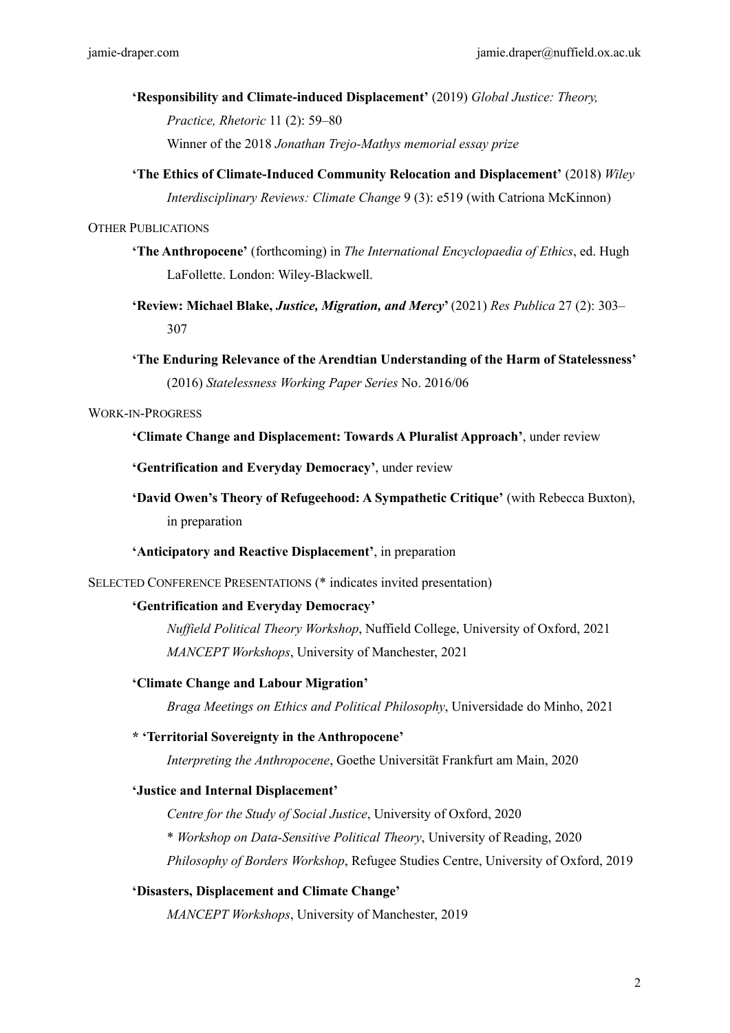# **'Responsibility and Climate-induced Displacement'** (2019) *Global Justice: Theory, Practice, Rhetoric* 11 (2): 59–80 Winner of the 2018 *Jonathan Trejo-Mathys memorial essay prize*

**'The Ethics of Climate-Induced Community Relocation and Displacement'** (2018) *Wiley Interdisciplinary Reviews: Climate Change* 9 (3): e519 (with Catriona McKinnon)

## OTHER PUBLICATIONS

- **'The Anthropocene'** (forthcoming) in *The International Encyclopaedia of Ethics*, ed. Hugh LaFollette. London: Wiley-Blackwell.
- **'Review: Michael Blake,** *Justice, Migration, and Mercy***'** (2021) *Res Publica* 27 (2): 303– 307
- **'The Enduring Relevance of the Arendtian Understanding of the Harm of Statelessness'** (2016) *Statelessness Working Paper Series* No. 2016/06

## WORK-IN-PROGRESS

## **'Climate Change and Displacement: Towards A Pluralist Approach'**, under review

**'Gentrification and Everyday Democracy'**, under review

**'David Owen's Theory of Refugeehood: A Sympathetic Critique'** (with Rebecca Buxton), in preparation

## **'Anticipatory and Reactive Displacement'**, in preparation

SELECTED CONFERENCE PRESENTATIONS (\* indicates invited presentation)

## **'Gentrification and Everyday Democracy'**

*Nuffield Political Theory Workshop*, Nuffield College, University of Oxford, 2021 *MANCEPT Workshops*, University of Manchester, 2021

#### **'Climate Change and Labour Migration'**

*Braga Meetings on Ethics and Political Philosophy*, Universidade do Minho, 2021

#### **\* 'Territorial Sovereignty in the Anthropocene'**

*Interpreting the Anthropocene*, Goethe Universität Frankfurt am Main, 2020

#### **'Justice and Internal Displacement'**

*Centre for the Study of Social Justice*, University of Oxford, 2020

\* *Workshop on Data-Sensitive Political Theory*, University of Reading, 2020

*Philosophy of Borders Workshop*, Refugee Studies Centre, University of Oxford, 2019

## **'Disasters, Displacement and Climate Change'**

*MANCEPT Workshops*, University of Manchester, 2019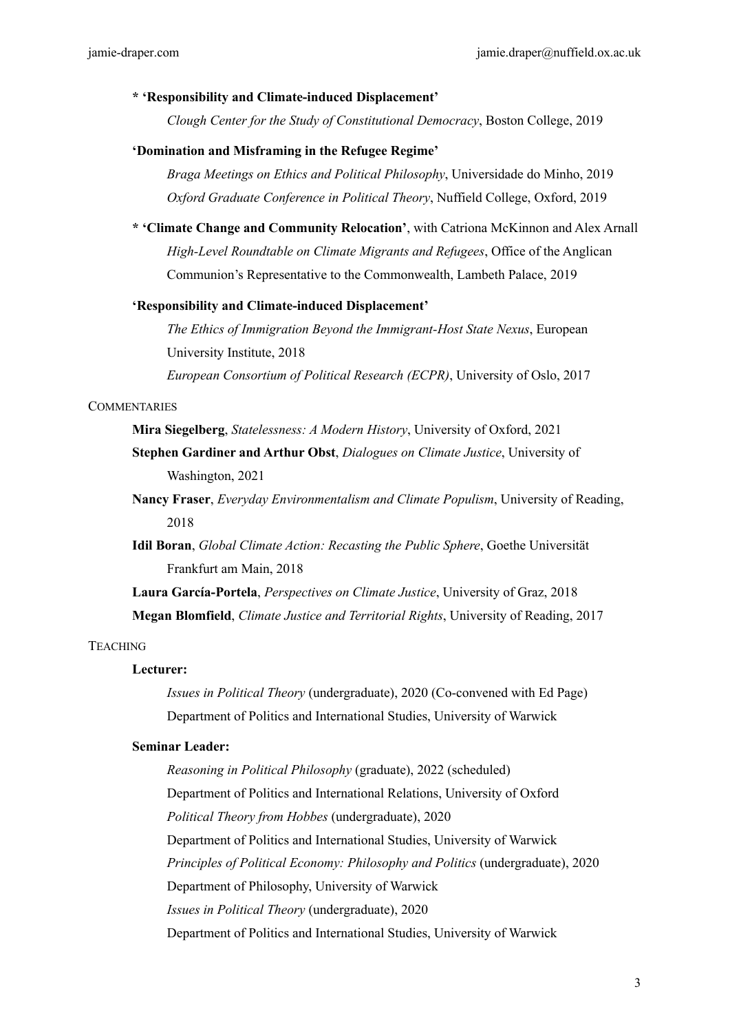#### **\* 'Responsibility and Climate-induced Displacement'**

*Clough Center for the Study of Constitutional Democracy*, Boston College, 2019

#### **'Domination and Misframing in the Refugee Regime'**

*Braga Meetings on Ethics and Political Philosophy*, Universidade do Minho, 2019 *Oxford Graduate Conference in Political Theory*, Nuffield College, Oxford, 2019

**\* 'Climate Change and Community Relocation'**, with Catriona McKinnon and Alex Arnall *High-Level Roundtable on Climate Migrants and Refugees*, Office of the Anglican Communion's Representative to the Commonwealth, Lambeth Palace, 2019

#### **'Responsibility and Climate-induced Displacement'**

*The Ethics of Immigration Beyond the Immigrant-Host State Nexus*, European University Institute, 2018

*European Consortium of Political Research (ECPR)*, University of Oslo, 2017

#### **COMMENTARIES**

**Mira Siegelberg**, *Statelessness: A Modern History*, University of Oxford, 2021

**Stephen Gardiner and Arthur Obst**, *Dialogues on Climate Justice*, University of Washington, 2021

- **Nancy Fraser**, *Everyday Environmentalism and Climate Populism*, University of Reading, 2018
- **Idil Boran**, *Global Climate Action: Recasting the Public Sphere*, Goethe Universität Frankfurt am Main, 2018

**Laura García-Portela**, *Perspectives on Climate Justice*, University of Graz, 2018 **Megan Blomfield**, *Climate Justice and Territorial Rights*, University of Reading, 2017

#### **TEACHING**

#### **Lecturer:**

*Issues in Political Theory* (undergraduate), 2020 (Co-convened with Ed Page) Department of Politics and International Studies, University of Warwick

#### **Seminar Leader:**

*Reasoning in Political Philosophy* (graduate), 2022 (scheduled) Department of Politics and International Relations, University of Oxford *Political Theory from Hobbes* (undergraduate), 2020 Department of Politics and International Studies, University of Warwick *Principles of Political Economy: Philosophy and Politics* (undergraduate), 2020 Department of Philosophy, University of Warwick *Issues in Political Theory* (undergraduate), 2020 Department of Politics and International Studies, University of Warwick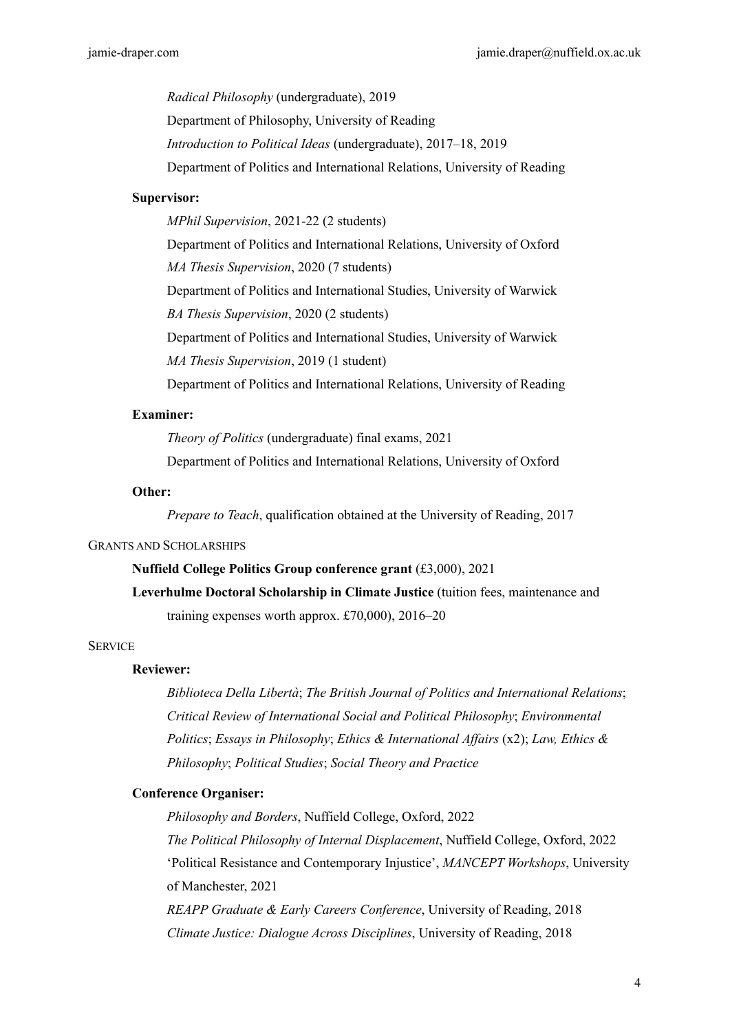*Radical Philosophy* (undergraduate), 2019 Department of Philosophy, University of Reading *Introduction to Political Ideas* (undergraduate), 2017–18, 2019 Department of Politics and International Relations, University of Reading

#### **Supervisor:**

*MPhil Supervision*, 2021-22 (2 students) Department of Politics and International Relations, University of Oxford *MA Thesis Supervision*, 2020 (7 students) Department of Politics and International Studies, University of Warwick *BA Thesis Supervision*, 2020 (2 students) Department of Politics and International Studies, University of Warwick *MA Thesis Supervision*, 2019 (1 student) Department of Politics and International Relations, University of Reading

## **Examiner:**

*Theory of Politics* (undergraduate) final exams, 2021

Department of Politics and International Relations, University of Oxford

#### **Other:**

*Prepare to Teach*, qualification obtained at the University of Reading, 2017

#### GRANTS AND SCHOLARSHIPS

#### **Nuffield College Politics Group conference grant** (£3,000), 2021

**Leverhulme Doctoral Scholarship in Climate Justice** (tuition fees, maintenance and training expenses worth approx. £70,000), 2016–20

#### **SERVICE**

## **Reviewer:**

*Biblioteca Della Libertà*; *The British Journal of Politics and International Relations*; *Critical Review of International Social and Political Philosophy*; *Environmental Politics*; *Essays in Philosophy*; *Ethics & International Affairs* (x2); *Law, Ethics & Philosophy*; *Political Studies*; *Social Theory and Practice*

## **Conference Organiser:**

*Philosophy and Borders*, Nuffield College, Oxford, 2022 *The Political Philosophy of Internal Displacement*, Nuffield College, Oxford, 2022 'Political Resistance and Contemporary Injustice', *MANCEPT Workshops*, University of Manchester, 2021 *REAPP Graduate & Early Careers Conference*, University of Reading, 2018

*Climate Justice: Dialogue Across Disciplines*, University of Reading, 2018